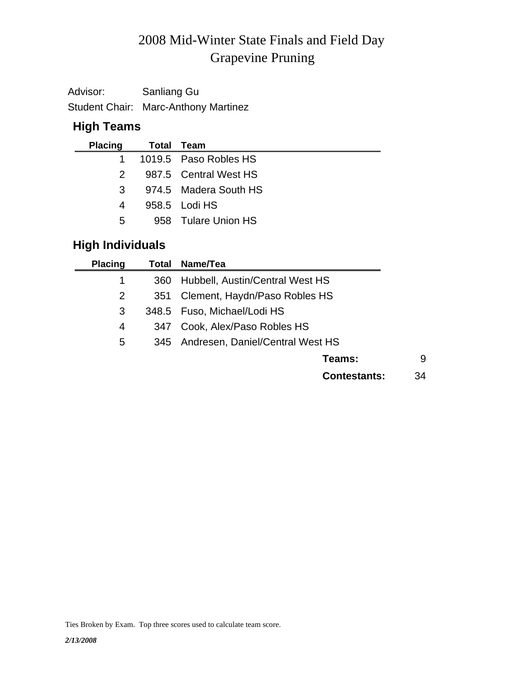# Grapevine Pruning 2008 Mid-Winter State Finals and Field Day

| Advisor: | Sanliang Gu                                 |
|----------|---------------------------------------------|
|          | <b>Student Chair: Marc-Anthony Martinez</b> |

## **High Teams**

| <b>Placing</b> | Total Team            |
|----------------|-----------------------|
| $1 \quad$      | 1019.5 Paso Robles HS |
| $\mathcal{P}$  | 987.5 Central West HS |
| $\mathbf{3}$   | 974.5 Madera South HS |
| 4              | 958.5 Lodi HS         |
| 5              | 958 Tulare Union HS   |
|                |                       |

### **High Individuals**

| <b>Placing</b> |     | Total Name/Tea                       |    |
|----------------|-----|--------------------------------------|----|
| 1              | 360 | Hubbell, Austin/Central West HS      |    |
| $\overline{2}$ | 351 | Clement, Haydn/Paso Robles HS        |    |
| 3              |     | 348.5 Fuso, Michael/Lodi HS          |    |
| 4              | 347 | Cook, Alex/Paso Robles HS            |    |
| 5              |     | 345 Andresen, Daniel/Central West HS |    |
|                |     | Teams:                               | 9  |
|                |     | <b>Contestants:</b>                  | 34 |

Ties Broken by Exam. Top three scores used to calculate team score.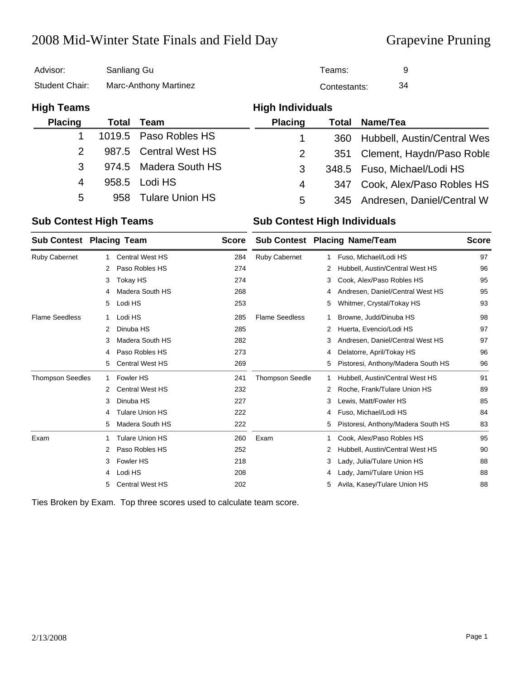### 2008 Mid-Winter State Finals and Field Day Grapevine Pruning

| Advisor:          | Sanliang Gu           |                        | Teams:                  |              | 9                              |
|-------------------|-----------------------|------------------------|-------------------------|--------------|--------------------------------|
| Student Chair:    | Marc-Anthony Martinez |                        |                         | Contestants: | 34                             |
| <b>High Teams</b> |                       |                        | <b>High Individuals</b> |              |                                |
| <b>Placing</b>    | Total                 | <b>Team</b>            | <b>Placing</b>          | Total        | Name/Tea                       |
|                   |                       | 1019.5 Paso Robles HS  |                         | 360          | Hubbell, Austin/Central Wes    |
| 2                 |                       | 987.5 Central West HS  | 2                       | 351          | Clement, Haydn/Paso Roble      |
| 3                 | 974.5                 | Madera South HS        | 3                       |              | 348.5 Fuso, Michael/Lodi HS    |
| 4                 | 958.5                 | Lodi HS                | 4                       | 347          | Cook, Alex/Paso Robles HS      |
| 5                 | 958                   | <b>Tulare Union HS</b> | 5                       |              | 345 Andresen, Daniel/Central W |

#### **Sub Contest High Teams Sub Contest High Individuals**

| <b>Sub Contest Placing Team</b> |   | <b>Score</b>           |     |                        | <b>Sub Contest Placing Name/Team</b> | <b>Score</b>                       |    |
|---------------------------------|---|------------------------|-----|------------------------|--------------------------------------|------------------------------------|----|
| <b>Ruby Cabernet</b>            |   | <b>Central West HS</b> | 284 | <b>Ruby Cabernet</b>   |                                      | Fuso, Michael/Lodi HS              | 97 |
|                                 | 2 | Paso Robles HS         | 274 |                        | 2                                    | Hubbell, Austin/Central West HS    | 96 |
|                                 | 3 | Tokay HS               | 274 |                        | 3                                    | Cook, Alex/Paso Robles HS          | 95 |
|                                 | 4 | Madera South HS        | 268 |                        | 4                                    | Andresen, Daniel/Central West HS   | 95 |
|                                 | 5 | Lodi HS                | 253 |                        | 5                                    | Whitmer, Crystal/Tokay HS          | 93 |
| <b>Flame Seedless</b>           |   | Lodi HS                | 285 | <b>Flame Seedless</b>  |                                      | Browne, Judd/Dinuba HS             | 98 |
|                                 | 2 | Dinuba HS              | 285 |                        | 2                                    | Huerta, Evencio/Lodi HS            | 97 |
|                                 | 3 | Madera South HS        | 282 |                        | 3                                    | Andresen, Daniel/Central West HS   | 97 |
|                                 | 4 | Paso Robles HS         | 273 |                        | 4                                    | Delatorre, April/Tokay HS          | 96 |
|                                 | 5 | <b>Central West HS</b> | 269 |                        | 5                                    | Pistoresi, Anthony/Madera South HS | 96 |
| <b>Thompson Seedles</b>         |   | Fowler HS              | 241 | <b>Thompson Seedle</b> |                                      | Hubbell, Austin/Central West HS    | 91 |
|                                 | 2 | <b>Central West HS</b> | 232 |                        | 2                                    | Roche, Frank/Tulare Union HS       | 89 |
|                                 | 3 | Dinuba HS              | 227 |                        | 3                                    | Lewis, Matt/Fowler HS              | 85 |
|                                 | 4 | <b>Tulare Union HS</b> | 222 |                        | 4                                    | Fuso, Michael/Lodi HS              | 84 |
|                                 | 5 | Madera South HS        | 222 |                        | 5                                    | Pistoresi, Anthony/Madera South HS | 83 |
| Exam                            |   | <b>Tulare Union HS</b> | 260 | Exam                   |                                      | Cook, Alex/Paso Robles HS          | 95 |
|                                 | 2 | Paso Robles HS         | 252 |                        | 2                                    | Hubbell, Austin/Central West HS    | 90 |
|                                 | 3 | Fowler HS              | 218 |                        | 3                                    | Lady, Julia/Tulare Union HS        | 88 |
|                                 | 4 | Lodi HS                | 208 |                        | 4                                    | Lady, Jami/Tulare Union HS         | 88 |
|                                 | 5 | <b>Central West HS</b> | 202 |                        | 5                                    | Avila, Kasey/Tulare Union HS       | 88 |

Ties Broken by Exam. Top three scores used to calculate team score.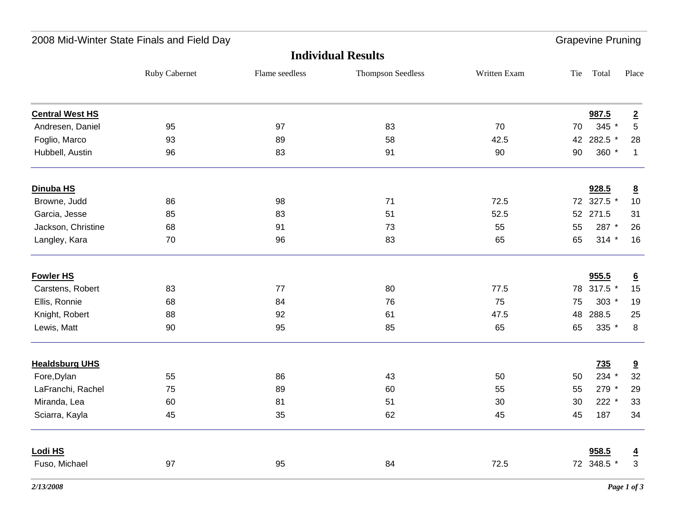| Total<br>987.5<br>345 *<br>42 282.5 *<br>360 * | Place<br>$\overline{2}$<br>5 |
|------------------------------------------------|------------------------------|
|                                                |                              |
|                                                |                              |
|                                                |                              |
|                                                |                              |
|                                                | 28                           |
|                                                | $\mathbf{1}$                 |
| 928.5                                          | $\underline{8}$              |
| 72 327.5 *                                     | $10$                         |
| 52 271.5                                       | 31                           |
| 287 *                                          | 26                           |
| $314 *$                                        | 16                           |
| 955.5                                          | $\underline{6}$              |
| 78 317.5 *                                     | 15                           |
| $303 *$                                        | 19                           |
| 288.5                                          | 25                           |
| 335 *                                          | 8                            |
| 735                                            | 9                            |
| 234 *                                          | 32                           |
| 279 *                                          | 29                           |
| $222 *$                                        | 33                           |
| 187                                            | 34                           |
| 958.5                                          | $\overline{4}$               |
|                                                | 3                            |
|                                                | 72 348.5 *                   |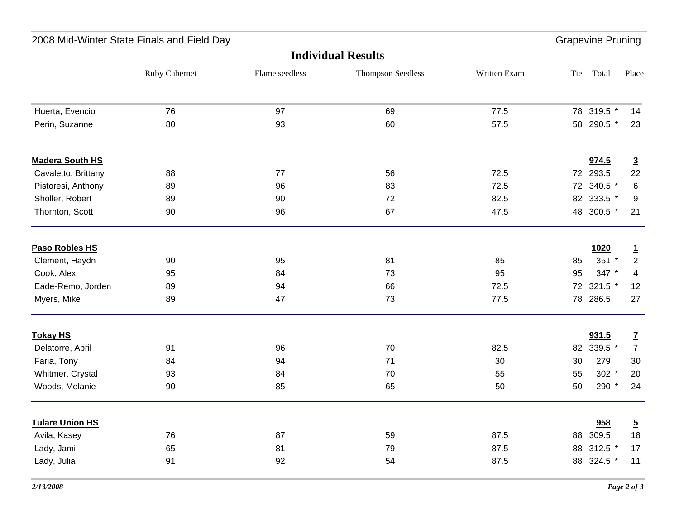| 2008 Mid-Winter State Finals and Field Day |               |                |                          |              | <b>Grapevine Pruning</b> |            |                |  |  |
|--------------------------------------------|---------------|----------------|--------------------------|--------------|--------------------------|------------|----------------|--|--|
| <b>Individual Results</b>                  |               |                |                          |              |                          |            |                |  |  |
|                                            | Ruby Cabernet | Flame seedless | <b>Thompson Seedless</b> | Written Exam | Tie                      | Total      | Place          |  |  |
| Huerta, Evencio                            | 76            | 97             | 69                       | 77.5         |                          | 78 319.5 * | 14             |  |  |
| Perin, Suzanne                             | 80            | 93             | 60                       | 57.5         |                          | 58 290.5 * | 23             |  |  |
| <b>Madera South HS</b>                     |               |                |                          |              |                          | 974.5      | $\overline{3}$ |  |  |
| Cavaletto, Brittany                        | 88            | 77             | 56                       | 72.5         |                          | 72 293.5   | 22             |  |  |
| Pistoresi, Anthony                         | 89            | 96             | 83                       | 72.5         |                          | 72 340.5 * | 6              |  |  |
| Sholler, Robert                            | 89            | 90             | 72                       | 82.5         |                          | 82 333.5 * | 9              |  |  |
| Thornton, Scott                            | 90            | 96             | 67                       | 47.5         |                          | 48 300.5 * | 21             |  |  |
| Paso Robles HS                             |               |                |                          |              |                          | 1020       | $\mathbf{1}$   |  |  |
| Clement, Haydn                             | 90            | 95             | 81                       | 85           | 85                       | $351 *$    | $\overline{2}$ |  |  |
| Cook, Alex                                 | 95            | 84             | 73                       | 95           | 95                       | 347 *      | $\overline{4}$ |  |  |
| Eade-Remo, Jorden                          | 89            | 94             | 66                       | 72.5         |                          | 72 321.5 * | 12             |  |  |
| Myers, Mike                                | 89            | 47             | 73                       | 77.5         | 78                       | 286.5      | 27             |  |  |
| <b>Tokay HS</b>                            |               |                |                          |              |                          | 931.5      | $\mathbf{Z}$   |  |  |
| Delatorre, April                           | 91            | 96             | 70                       | 82.5         | 82                       | 339.5 *    | $\overline{7}$ |  |  |
| Faria, Tony                                | 84            | 94             | 71                       | 30           | 30                       | 279        | $30\,$         |  |  |
| Whitmer, Crystal                           | 93            | 84             | 70                       | 55           | 55                       | $302 *$    | 20             |  |  |
| Woods, Melanie                             | 90            | 85             | 65                       | 50           | 50                       | 290 *      | 24             |  |  |
| <b>Tulare Union HS</b>                     |               |                |                          |              |                          | 958        | $\overline{5}$ |  |  |
| Avila, Kasey                               | 76            | 87             | 59                       | 87.5         |                          | 88 309.5   | 18             |  |  |
| Lady, Jami                                 | 65            | 81             | 79                       | 87.5         | 88                       | 312.5 $*$  | 17             |  |  |
| Lady, Julia                                | 91            | 92             | 54                       | 87.5         | 88                       | 324.5 *    | 11             |  |  |